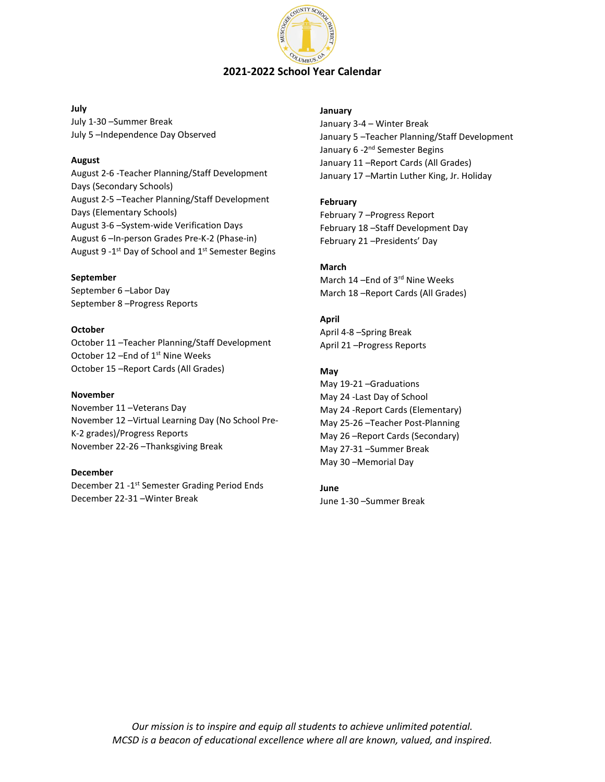

#### **July**

July 1-30 –Summer Break July 5 –Independence Day Observed

#### **August**

August 2-6 -Teacher Planning/Staff Development Days (Secondary Schools) August 2-5 –Teacher Planning/Staff Development Days (Elementary Schools) August 3-6 –System-wide Verification Days August 6 –In-person Grades Pre-K-2 (Phase-in) August 9 - 1<sup>st</sup> Day of School and 1<sup>st</sup> Semester Begins

### **September**

September 6 –Labor Day September 8 –Progress Reports

### **October**

October 11 –Teacher Planning/Staff Development October 12 - End of 1<sup>st</sup> Nine Weeks October 15 –Report Cards (All Grades)

#### **November**

November 11 –Veterans Day November 12 –Virtual Learning Day (No School Pre-K-2 grades)/Progress Reports November 22-26 –Thanksgiving Break

#### **December**

December 21 -1<sup>st</sup> Semester Grading Period Ends December 22-31 –Winter Break

#### **January**

January 3-4 – Winter Break January 5 –Teacher Planning/Staff Development January 6 - 2<sup>nd</sup> Semester Begins January 11 –Report Cards (All Grades) January 17 –Martin Luther King, Jr. Holiday

### **February**

February 7 –Progress Report February 18 –Staff Development Day February 21 –Presidents' Day

## **March**

March 14 –End of 3rd Nine Weeks March 18 –Report Cards (All Grades)

### **April**

April 4-8 –Spring Break April 21 –Progress Reports

### **May**

May 19-21 –Graduations May 24 -Last Day of School May 24 -Report Cards (Elementary) May 25-26 –Teacher Post-Planning May 26 –Report Cards (Secondary) May 27-31 –Summer Break May 30 –Memorial Day

# **June**

June 1-30 –Summer Break